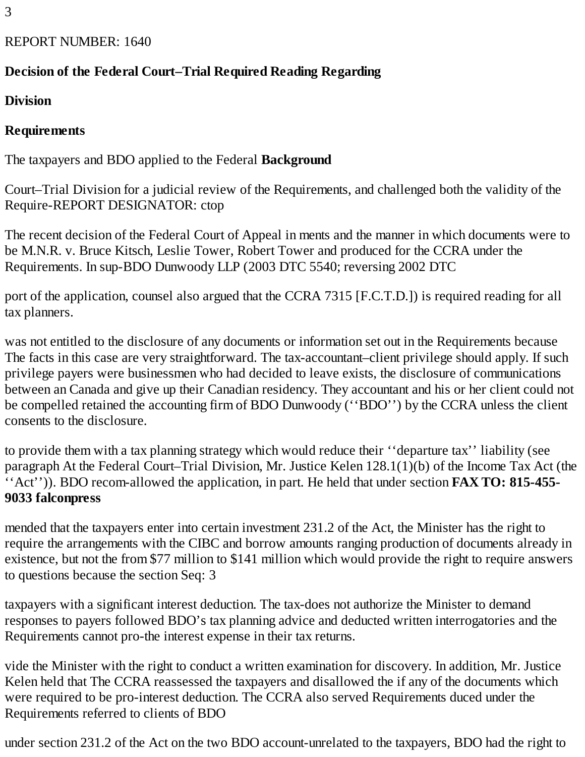3

## REPORT NUMBER: 1640

## **Decision of the Federal Court–Trial Required Reading Regarding**

**Division**

### **Requirements**

The taxpayers and BDO applied to the Federal **Background**

Court–Trial Division for a judicial review of the Requirements, and challenged both the validity of the Require-REPORT DESIGNATOR: ctop

The recent decision of the Federal Court of Appeal in ments and the manner in which documents were to be M.N.R. v. Bruce Kitsch, Leslie Tower, Robert Tower and produced for the CCRA under the Requirements. In sup-BDO Dunwoody LLP (2003 DTC 5540; reversing 2002 DTC

port of the application, counsel also argued that the CCRA 7315 [F.C.T.D.]) is required reading for all tax planners.

was not entitled to the disclosure of any documents or information set out in the Requirements because The facts in this case are very straightforward. The tax-accountant–client privilege should apply. If such privilege payers were businessmen who had decided to leave exists, the disclosure of communications between an Canada and give up their Canadian residency. They accountant and his or her client could not be compelled retained the accounting firm of BDO Dunwoody (''BDO'') by the CCRA unless the client consents to the disclosure.

to provide them with a tax planning strategy which would reduce their ''departure tax'' liability (see paragraph At the Federal Court–Trial Division, Mr. Justice Kelen 128.1(1)(b) of the Income Tax Act (the ''Act'')). BDO recom-allowed the application, in part. He held that under section **FAX TO: 815-455- 9033 falconpress**

mended that the taxpayers enter into certain investment 231.2 of the Act, the Minister has the right to require the arrangements with the CIBC and borrow amounts ranging production of documents already in existence, but not the from \$77 million to \$141 million which would provide the right to require answers to questions because the section Seq: 3

taxpayers with a significant interest deduction. The tax-does not authorize the Minister to demand responses to payers followed BDO's tax planning advice and deducted written interrogatories and the Requirements cannot pro-the interest expense in their tax returns.

vide the Minister with the right to conduct a written examination for discovery. In addition, Mr. Justice Kelen held that The CCRA reassessed the taxpayers and disallowed the if any of the documents which were required to be pro-interest deduction. The CCRA also served Requirements duced under the Requirements referred to clients of BDO

under section 231.2 of the Act on the two BDO account-unrelated to the taxpayers, BDO had the right to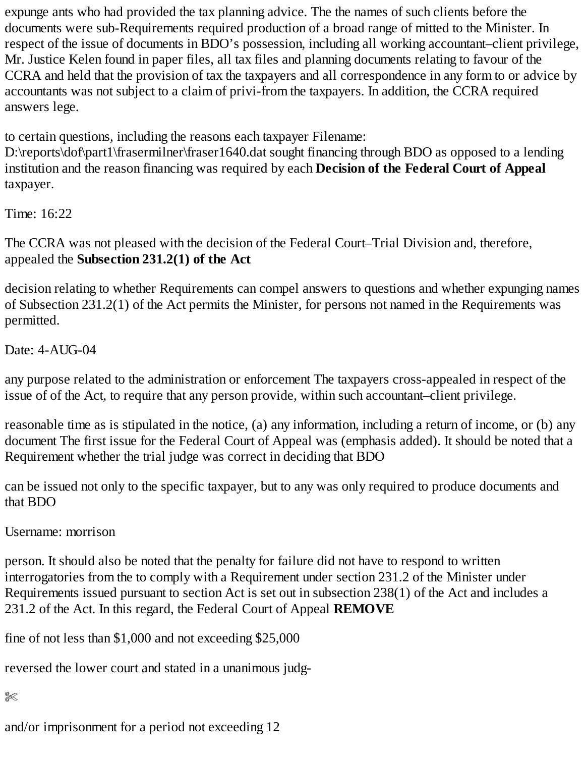expunge ants who had provided the tax planning advice. The the names of such clients before the documents were sub-Requirements required production of a broad range of mitted to the Minister. In respect of the issue of documents in BDO's possession, including all working accountant–client privilege, Mr. Justice Kelen found in paper files, all tax files and planning documents relating to favour of the CCRA and held that the provision of tax the taxpayers and all correspondence in any form to or advice by accountants was not subject to a claim of privi-from the taxpayers. In addition, the CCRA required answers lege.

to certain questions, including the reasons each taxpayer Filename:

D:\reports\dof\part1\frasermilner\fraser1640.dat sought financing through BDO as opposed to a lending institution and the reason financing was required by each **Decision of the Federal Court of Appeal** taxpayer.

Time: 16:22

The CCRA was not pleased with the decision of the Federal Court–Trial Division and, therefore, appealed the **Subsection 231.2(1) of the Act**

decision relating to whether Requirements can compel answers to questions and whether expunging names of Subsection 231.2(1) of the Act permits the Minister, for persons not named in the Requirements was permitted.

Date: 4-AUG-04

any purpose related to the administration or enforcement The taxpayers cross-appealed in respect of the issue of of the Act, to require that any person provide, within such accountant–client privilege.

reasonable time as is stipulated in the notice, (a) any information, including a return of income, or (b) any document The first issue for the Federal Court of Appeal was (emphasis added). It should be noted that a Requirement whether the trial judge was correct in deciding that BDO

can be issued not only to the specific taxpayer, but to any was only required to produce documents and that BDO

Username: morrison

person. It should also be noted that the penalty for failure did not have to respond to written interrogatories from the to comply with a Requirement under section 231.2 of the Minister under Requirements issued pursuant to section Act is set out in subsection 238(1) of the Act and includes a 231.2 of the Act. In this regard, the Federal Court of Appeal **REMOVE**

fine of not less than \$1,000 and not exceeding \$25,000

reversed the lower court and stated in a unanimous judg-

 $% \mathbb{R}$ 

and/or imprisonment for a period not exceeding 12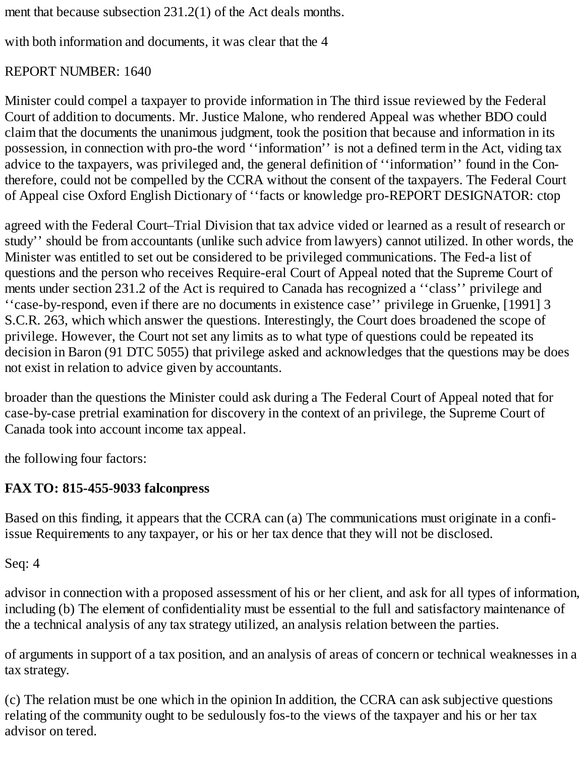ment that because subsection 231.2(1) of the Act deals months.

with both information and documents, it was clear that the 4

## REPORT NUMBER: 1640

Minister could compel a taxpayer to provide information in The third issue reviewed by the Federal Court of addition to documents. Mr. Justice Malone, who rendered Appeal was whether BDO could claim that the documents the unanimous judgment, took the position that because and information in its possession, in connection with pro-the word ''information'' is not a defined term in the Act, viding tax advice to the taxpayers, was privileged and, the general definition of ''information'' found in the Contherefore, could not be compelled by the CCRA without the consent of the taxpayers. The Federal Court of Appeal cise Oxford English Dictionary of ''facts or knowledge pro-REPORT DESIGNATOR: ctop

agreed with the Federal Court–Trial Division that tax advice vided or learned as a result of research or study'' should be from accountants (unlike such advice from lawyers) cannot utilized. In other words, the Minister was entitled to set out be considered to be privileged communications. The Fed-a list of questions and the person who receives Require-eral Court of Appeal noted that the Supreme Court of ments under section 231.2 of the Act is required to Canada has recognized a ''class'' privilege and ''case-by-respond, even if there are no documents in existence case'' privilege in Gruenke, [1991] 3 S.C.R. 263, which which answer the questions. Interestingly, the Court does broadened the scope of privilege. However, the Court not set any limits as to what type of questions could be repeated its decision in Baron (91 DTC 5055) that privilege asked and acknowledges that the questions may be does not exist in relation to advice given by accountants.

broader than the questions the Minister could ask during a The Federal Court of Appeal noted that for case-by-case pretrial examination for discovery in the context of an privilege, the Supreme Court of Canada took into account income tax appeal.

the following four factors:

# **FAX TO: 815-455-9033 falconpress**

Based on this finding, it appears that the CCRA can (a) The communications must originate in a confiissue Requirements to any taxpayer, or his or her tax dence that they will not be disclosed.

Seq: 4

advisor in connection with a proposed assessment of his or her client, and ask for all types of information, including (b) The element of confidentiality must be essential to the full and satisfactory maintenance of the a technical analysis of any tax strategy utilized, an analysis relation between the parties.

of arguments in support of a tax position, and an analysis of areas of concern or technical weaknesses in a tax strategy.

(c) The relation must be one which in the opinion In addition, the CCRA can ask subjective questions relating of the community ought to be sedulously fos-to the views of the taxpayer and his or her tax advisor on tered.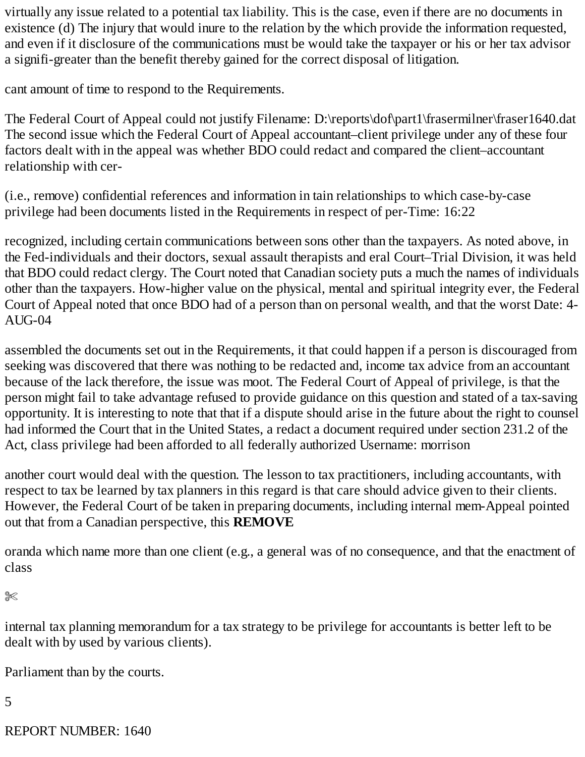virtually any issue related to a potential tax liability. This is the case, even if there are no documents in existence (d) The injury that would inure to the relation by the which provide the information requested, and even if it disclosure of the communications must be would take the taxpayer or his or her tax advisor a signifi-greater than the benefit thereby gained for the correct disposal of litigation.

cant amount of time to respond to the Requirements.

The Federal Court of Appeal could not justify Filename: D:\reports\dof\part1\frasermilner\fraser1640.dat The second issue which the Federal Court of Appeal accountant–client privilege under any of these four factors dealt with in the appeal was whether BDO could redact and compared the client–accountant relationship with cer-

(i.e., remove) confidential references and information in tain relationships to which case-by-case privilege had been documents listed in the Requirements in respect of per-Time: 16:22

recognized, including certain communications between sons other than the taxpayers. As noted above, in the Fed-individuals and their doctors, sexual assault therapists and eral Court–Trial Division, it was held that BDO could redact clergy. The Court noted that Canadian society puts a much the names of individuals other than the taxpayers. How-higher value on the physical, mental and spiritual integrity ever, the Federal Court of Appeal noted that once BDO had of a person than on personal wealth, and that the worst Date: 4- AUG-04

assembled the documents set out in the Requirements, it that could happen if a person is discouraged from seeking was discovered that there was nothing to be redacted and, income tax advice from an accountant because of the lack therefore, the issue was moot. The Federal Court of Appeal of privilege, is that the person might fail to take advantage refused to provide guidance on this question and stated of a tax-saving opportunity. It is interesting to note that that if a dispute should arise in the future about the right to counsel had informed the Court that in the United States, a redact a document required under section 231.2 of the Act, class privilege had been afforded to all federally authorized Username: morrison

another court would deal with the question. The lesson to tax practitioners, including accountants, with respect to tax be learned by tax planners in this regard is that care should advice given to their clients. However, the Federal Court of be taken in preparing documents, including internal mem-Appeal pointed out that from a Canadian perspective, this **REMOVE**

oranda which name more than one client (e.g., a general was of no consequence, and that the enactment of class

✄

internal tax planning memorandum for a tax strategy to be privilege for accountants is better left to be dealt with by used by various clients).

Parliament than by the courts.

5

REPORT NUMBER: 1640